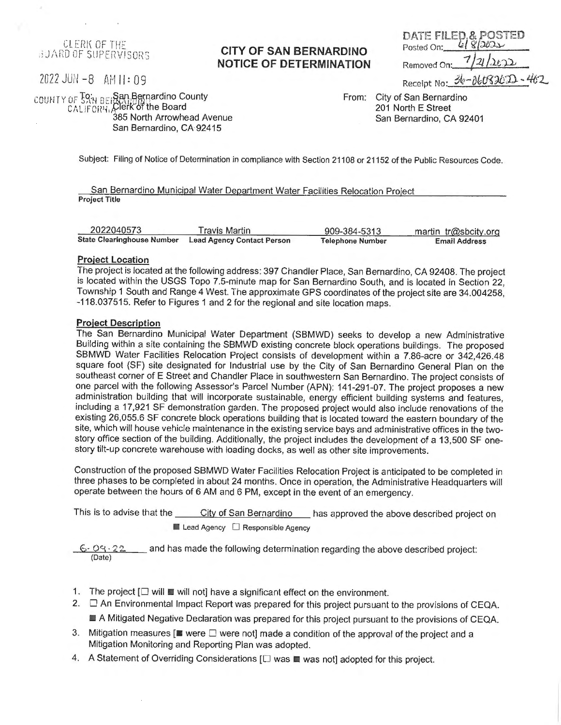**CLERK OF THE** BUARD OF SUPERVISORS

## **CITY OF SAN BERNARDINO NOTICE OF DETERMINATION**

Removed On: Receipt No:  $36 - 06083022 - 46$ 

DATE FILED, & POSTED

2022 JU/I -8 AH 11: 09

COUH IY OF SAN BEIRAN Bernardino County  $CAL$  if  $ORV$ , Clerk of the Board 385 North Arrowhead Avenue

San Bernardino, CA 92415

From: City of San Bernardino 201 North E Street San Bernardino, CA 92401

Posted On:

Subject: Filing of Notice of Determination in compliance with Section 21108 or 21152 of the Public Resources Code.

San Bernardino Municipal Water Department Water Facilities Relocation Project **Project Title** 

| 2022040573                        | Travis Martin                     | 909-384-5313     | martin tr@sbcity.org |  |
|-----------------------------------|-----------------------------------|------------------|----------------------|--|
| <b>State Clearinghouse Number</b> | <b>Lead Agency Contact Person</b> | Telephone Number | <b>Email Address</b> |  |

#### **Project Location**

The project is located at the following address: 397 Chandler Place, San Bernardino, CA 92408. The project is located within the USGS Topo 7.5-minute map for San Bernardino South, and is located in Section 22, Township 1 South and Range 4 West. The approximate GPS coordinates of the project site are 34.004258, -118.037515. Refer to Figures 1 and 2 for the regional and site location maps.

### **Project Description**

The San Bernardino Municipal Water Department (SBMWD) seeks to develop a new Administrative Building within a site containing the SBMWD existing concrete block operations buildings. The proposed SBMWD Water Facilities Relocation Project consists of development within a 7.86-acre or 342,426.48 square foot (SF) site designated for Industrial use by the City of San Bernardino General Plan on the southeast corner of E Street and Chandler Place in southwestern San Bernardino. The project consists of one parcel with the following Assessor's Parcel Number (APN): 141-291-07. The project proposes a new administration building that will incorporate sustainable, energy efficient building systems and features, including a 17,921 SF demonstration garden. The proposed project would also include renovations of the existing 26,055.6 SF concrete block operations building that is located toward the eastern boundary of the site, which will house vehicle maintenance in the existing service bays and administrative offices in the twostory office section of the building. Additionally, the project includes the development of a 13,500 SF onestory tilt-up concrete warehouse with loading docks, as well as other site improvements.

Construction of the proposed SBMWD Water Facilities Relocation Project is anticipated to be completed in three phases to be completed in about 24 months. Once in operation, the Administrative Headquarters will operate between the hours of 6 AM and 6 PM, except in the event of an emergency.

This is to advise that the \_\_\_\_\_City of San Bernardino \_\_\_\_ has approved the above described project on  $\blacksquare$  Lead Agency  $\Box$  Responsible Agency

 $\cdot$  O.9  $\cdot$  2.2  $\cdot$  and has made the following determination regarding the above described project: (Date)

- 1. The project  $[\Box$  will  $\Box$  will not] have a significant effect on the environment.
- 2.  $\Box$  An Environmental Impact Report was prepared for this project pursuant to the provisions of CEQA.

• A Mitigated Negative Declaration was prepared for this project pursuant to the provisions of CEQA.

- 3. Mitigation measures [ $\blacksquare$  were  $\square$  were not] made a condition of the approval of the project and a Mitigation Monitoring and Reporting Plan was adopted.
- 4. A Statement of Overriding Considerations  $[\Box$  was  $\blacksquare$  was not] adopted for this project.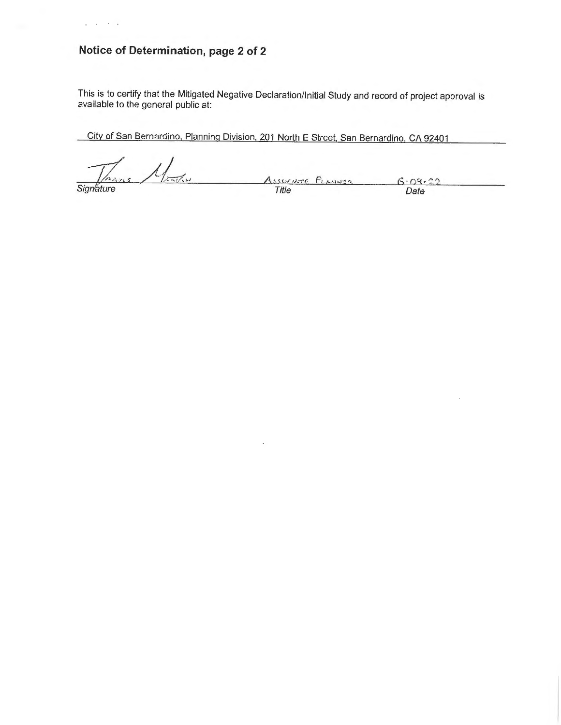# **Notice of Determination, page 2 of 2**

 $\bar{\mathcal{A}}$  $\alpha = 10$ 

 $\ddot{\phantom{a}}$ 

This is to certify that the Mitigated Negative Declaration/Initial Study and record of project approval is available to the general public at:

City of San Bernardino, Planning Division, 201 North E Street, San Bernardino, CA 92401

Signature 1/2 Associate PLANNER<br>Signature Date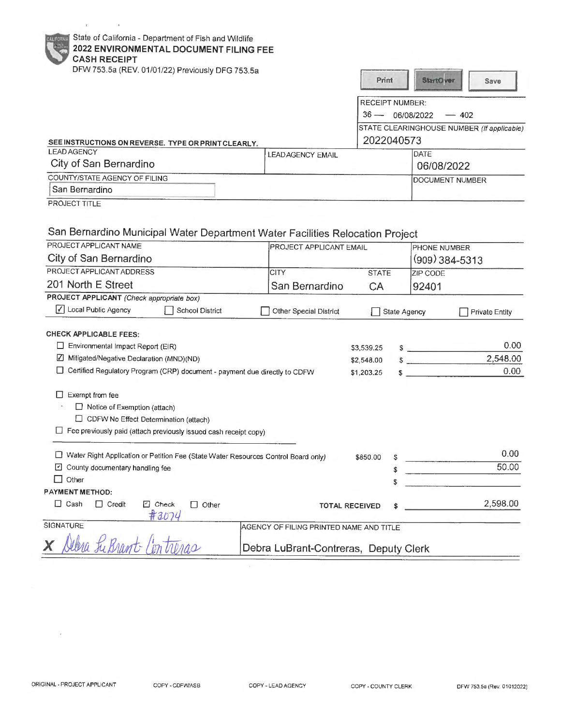| State of California - Department of Fish and Wildlife |
|-------------------------------------------------------|
| 2022 ENVIRONMENTAL DOCUMENT FILING FEE                |
| <b>CASH RECEIPT</b>                                   |

 $\mathfrak{c}$ 

DFW 753.5a (REV. 01/01/22) Previously DFG 753.5a SEE INSTRUCTIONS ON REVERSE. TYPE OR PRINT CLEARLY.<br>LEAD AGENCY LEAD AGENCY EMAIL City of San Bernardino COUNTY/STATE AGENCY OF FILING San Bernardino -\_J PROJECT TITLE **Print StartOver Save** RECEIPT NUMBER:  $36 - 06/08/2022 - 402$ STATE CLEARINGHOUSE NUMBER (If applicable) 2022040573 **DATE** 06/08/2022 DOCUMENT NUMBER San Bernardino Municipal Water Department Water Facilities Relocation Project

| PROJECT APPLICANT NAME                                                               |                                                                  |                                         | <b>PROJECT APPLICANT EMAIL</b> |                        | PHONE NUMBER<br>$(909)$ 384-5313 |  |
|--------------------------------------------------------------------------------------|------------------------------------------------------------------|-----------------------------------------|--------------------------------|------------------------|----------------------------------|--|
| City of San Bernardino                                                               |                                                                  |                                         |                                |                        |                                  |  |
| PROJECT APPLICANT ADDRESS                                                            |                                                                  | <b>CITY</b>                             | <b>STATE</b>                   | ZIP CODE               |                                  |  |
| 201 North E Street                                                                   |                                                                  | San Bernardino                          | CA                             |                        | 92401                            |  |
| PROJECT APPLICANT (Check appropriate box)                                            |                                                                  |                                         |                                |                        |                                  |  |
| √ Local Public Agency                                                                | <b>School District</b>                                           | Other Special District                  |                                | State Agency           | <b>Private Entity</b>            |  |
| <b>CHECK APPLICABLE FEES:</b>                                                        |                                                                  |                                         |                                |                        |                                  |  |
| Environmental Impact Report (EIR)                                                    |                                                                  |                                         | \$3,539.25                     | <u> The Common Sta</u> | 0.00                             |  |
| Mitigated/Negative Declaration (MND)(ND)<br>M                                        |                                                                  |                                         | \$2,548.00                     | $\sim$                 | 2,548.00                         |  |
| Certified Regulatory Program (CRP) document - payment due directly to CDFW           |                                                                  |                                         | \$1,203.25                     | S.                     | 0.00                             |  |
| $\Box$ Notice of Exemption (attach)<br>□ CDFW No Effect Determination (attach)       | Fee previously paid (attach previously issued cash receipt copy) |                                         |                                |                        |                                  |  |
| □ Water Right Application or Petition Fee (State Water Resources Control Board only) |                                                                  |                                         | \$850.00                       |                        | 0.00                             |  |
| ⊻<br>County documentary handling fee                                                 |                                                                  |                                         |                                |                        | 50.00                            |  |
| Other<br>П                                                                           |                                                                  |                                         | \$                             |                        |                                  |  |
| <b>PAYMENT METHOD:</b>                                                               |                                                                  |                                         |                                |                        |                                  |  |
| $\Box$ Cash<br>$\Box$ Credit                                                         | $\Box$ Check<br>П.<br>Other<br>#3074                             |                                         | <b>TOTAL RECEIVED</b>          |                        | 2,598.00                         |  |
| SIGNATURE                                                                            |                                                                  | AGENCY OF FILING PRINTED NAME AND TITLE |                                |                        |                                  |  |
|                                                                                      |                                                                  | Debra LuBrant-Contreras, Deputy Clerk   |                                |                        |                                  |  |